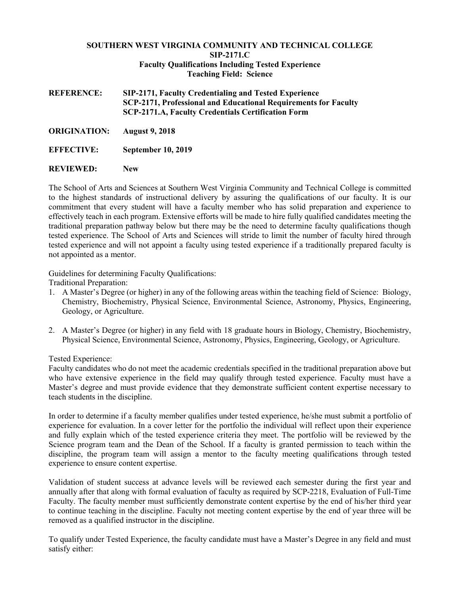## **SOUTHERN WEST VIRGINIA COMMUNITY AND TECHNICAL COLLEGE SIP-2171.C Faculty Qualifications Including Tested Experience Teaching Field: Science**

**REFERENCE: SIP-2171, Faculty Credentialing and Tested Experience SCP-2171, Professional and Educational Requirements for Faculty SCP-2171.A, Faculty Credentials Certification Form**

**ORIGINATION: August 9, 2018** 

**EFFECTIVE: September 10, 2019**

**REVIEWED: New**

The School of Arts and Sciences at Southern West Virginia Community and Technical College is committed to the highest standards of instructional delivery by assuring the qualifications of our faculty. It is our commitment that every student will have a faculty member who has solid preparation and experience to effectively teach in each program. Extensive efforts will be made to hire fully qualified candidates meeting the traditional preparation pathway below but there may be the need to determine faculty qualifications though tested experience. The School of Arts and Sciences will stride to limit the number of faculty hired through tested experience and will not appoint a faculty using tested experience if a traditionally prepared faculty is not appointed as a mentor.

Guidelines for determining Faculty Qualifications:

Traditional Preparation:

- 1. A Master's Degree (or higher) in any of the following areas within the teaching field of Science: Biology, Chemistry, Biochemistry, Physical Science, Environmental Science, Astronomy, Physics, Engineering, Geology, or Agriculture.
- 2. A Master's Degree (or higher) in any field with 18 graduate hours in Biology, Chemistry, Biochemistry, Physical Science, Environmental Science, Astronomy, Physics, Engineering, Geology, or Agriculture.

Tested Experience:

Faculty candidates who do not meet the academic credentials specified in the traditional preparation above but who have extensive experience in the field may qualify through tested experience. Faculty must have a Master's degree and must provide evidence that they demonstrate sufficient content expertise necessary to teach students in the discipline.

In order to determine if a faculty member qualifies under tested experience, he/she must submit a portfolio of experience for evaluation. In a cover letter for the portfolio the individual will reflect upon their experience and fully explain which of the tested experience criteria they meet. The portfolio will be reviewed by the Science program team and the Dean of the School. If a faculty is granted permission to teach within the discipline, the program team will assign a mentor to the faculty meeting qualifications through tested experience to ensure content expertise.

Validation of student success at advance levels will be reviewed each semester during the first year and annually after that along with formal evaluation of faculty as required by SCP-2218, Evaluation of Full-Time Faculty. The faculty member must sufficiently demonstrate content expertise by the end of his/her third year to continue teaching in the discipline. Faculty not meeting content expertise by the end of year three will be removed as a qualified instructor in the discipline.

To qualify under Tested Experience, the faculty candidate must have a Master's Degree in any field and must satisfy either: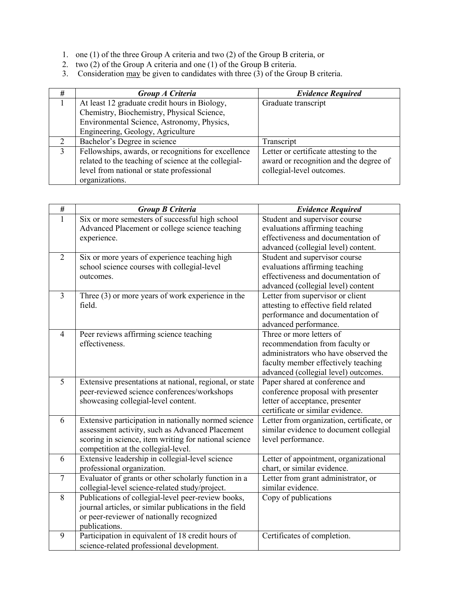- 1. one (1) of the three Group A criteria and two (2) of the Group B criteria, or
- 2. two (2) of the Group A criteria and one (1) of the Group B criteria.
- 3. Consideration may be given to candidates with three (3) of the Group B criteria.

| #             | Group A Criteria                                     | <b>Evidence Required</b>               |  |
|---------------|------------------------------------------------------|----------------------------------------|--|
|               | At least 12 graduate credit hours in Biology,        | Graduate transcript                    |  |
|               | Chemistry, Biochemistry, Physical Science,           |                                        |  |
|               | Environmental Science, Astronomy, Physics,           |                                        |  |
|               | Engineering, Geology, Agriculture                    |                                        |  |
| 2             | Bachelor's Degree in science                         | Transcript                             |  |
| $\mathcal{E}$ | Fellowships, awards, or recognitions for excellence  | Letter or certificate attesting to the |  |
|               | related to the teaching of science at the collegial- | award or recognition and the degree of |  |
|               | level from national or state professional            | collegial-level outcomes.              |  |
|               | organizations.                                       |                                        |  |

| $\#$           | <b>Group B Criteria</b>                                 | <b>Evidence Required</b>                  |  |
|----------------|---------------------------------------------------------|-------------------------------------------|--|
| 1              | Six or more semesters of successful high school         | Student and supervisor course             |  |
|                | Advanced Placement or college science teaching          | evaluations affirming teaching            |  |
|                | experience.                                             | effectiveness and documentation of        |  |
|                |                                                         | advanced (collegial level) content.       |  |
| $\overline{2}$ | Six or more years of experience teaching high           | Student and supervisor course             |  |
|                | school science courses with collegial-level             | evaluations affirming teaching            |  |
|                | outcomes.                                               | effectiveness and documentation of        |  |
|                |                                                         | advanced (collegial level) content        |  |
| 3              | Three $(3)$ or more years of work experience in the     | Letter from supervisor or client          |  |
|                | field.                                                  | attesting to effective field related      |  |
|                |                                                         | performance and documentation of          |  |
|                |                                                         | advanced performance.                     |  |
| $\overline{4}$ | Peer reviews affirming science teaching                 | Three or more letters of                  |  |
|                | effectiveness.                                          | recommendation from faculty or            |  |
|                |                                                         | administrators who have observed the      |  |
|                |                                                         | faculty member effectively teaching       |  |
|                |                                                         | advanced (collegial level) outcomes.      |  |
| 5              | Extensive presentations at national, regional, or state | Paper shared at conference and            |  |
|                | peer-reviewed science conferences/workshops             | conference proposal with presenter        |  |
|                | showcasing collegial-level content.                     | letter of acceptance, presenter           |  |
|                |                                                         | certificate or similar evidence.          |  |
| 6              | Extensive participation in nationally normed science    | Letter from organization, certificate, or |  |
|                | assessment activity, such as Advanced Placement         | similar evidence to document collegial    |  |
|                | scoring in science, item writing for national science   | level performance.                        |  |
|                | competition at the collegial-level.                     |                                           |  |
| 6              | Extensive leadership in collegial-level science         | Letter of appointment, organizational     |  |
|                | professional organization.                              | chart, or similar evidence.               |  |
| $\tau$         | Evaluator of grants or other scholarly function in a    | Letter from grant administrator, or       |  |
|                | collegial-level science-related study/project.          | similar evidence.                         |  |
| 8              | Publications of collegial-level peer-review books,      | Copy of publications                      |  |
|                | journal articles, or similar publications in the field  |                                           |  |
|                | or peer-reviewer of nationally recognized               |                                           |  |
|                | publications.                                           |                                           |  |
| 9              | Participation in equivalent of 18 credit hours of       | Certificates of completion.               |  |
|                | science-related professional development.               |                                           |  |